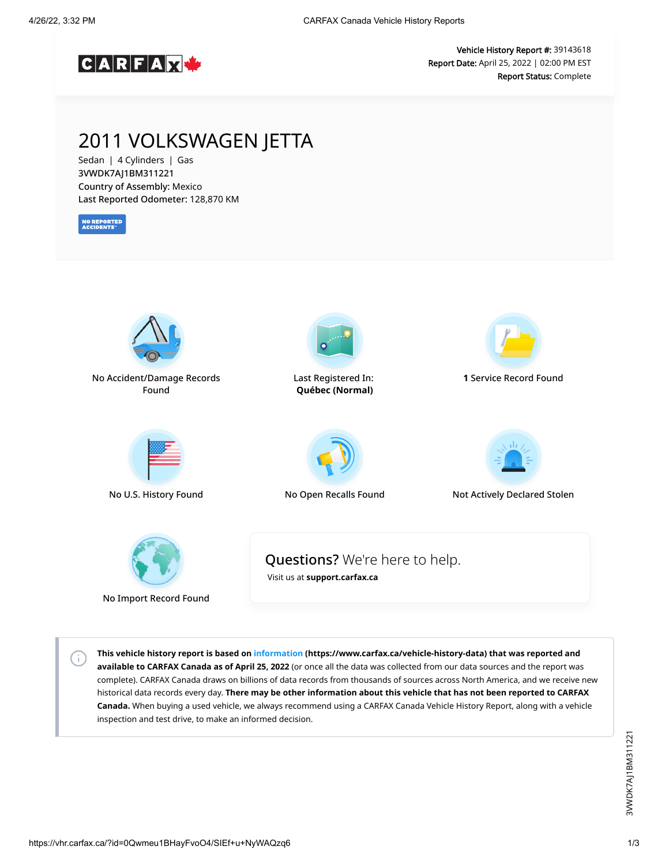

Vehicle History Report #: 39143618 Report Date: April 25, 2022 | 02:00 PM EST Report Status: Complete

## 2011 VOLKSWAGEN JETTA

Sedan | 4 Cylinders | Gas 3VWDK7AJ1BM311221 Country of Assembly: Mexico Last Reported Odometer: 128,870 KM

**NO REPORTED**<br>ACCIDENTS

 $\left( \cdot \right)$ 



**This vehicle history report is based on [information](https://www.carfax.ca/vehicle-history-data) (https://www.carfax.ca/vehicle-history-data) that was reported and available to CARFAX Canada as of April 25, 2022** (or once all the data was collected from our data sources and the report was complete). CARFAX Canada draws on billions of data records from thousands of sources across North America, and we receive new historical data records every day. **There may be other information about this vehicle that has not been reported to CARFAX Canada.** When buying a used vehicle, we always recommend using a CARFAX Canada Vehicle History Report, along with a vehicle inspection and test drive, to make an informed decision.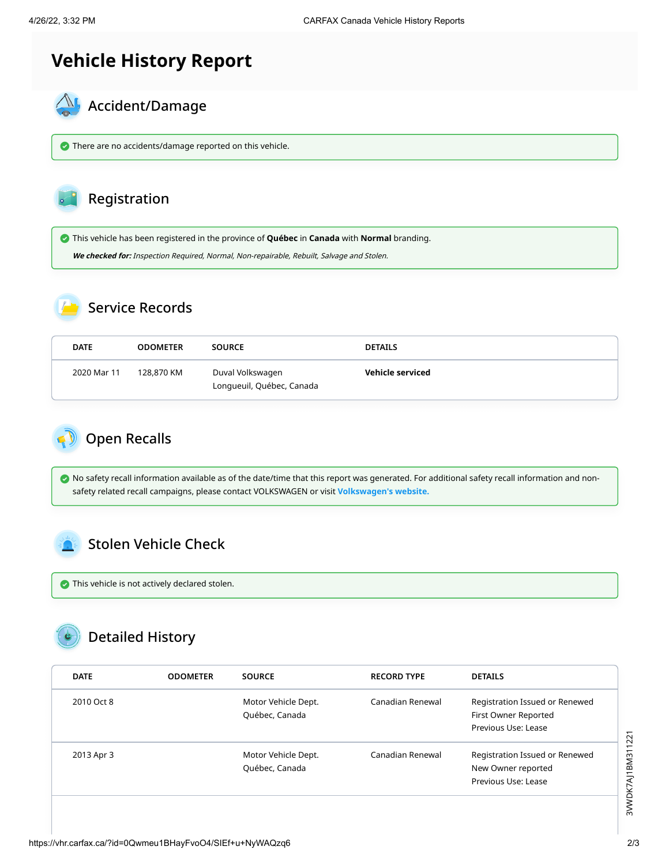# **Vehicle History Report**



There are no accidents/damage reported on this vehicle.

#### Registration

This vehicle has been registered in the province of **Québec** in **Canada** with **Normal** branding.

**We checked for:** Inspection Required, Normal, Non-repairable, Rebuilt, Salvage and Stolen.

### Service Records

| <b>DATE</b> | <b>ODOMETER</b> | <b>SOURCE</b>                                 | <b>DETAILS</b>   |
|-------------|-----------------|-----------------------------------------------|------------------|
| 2020 Mar 11 | 128,870 KM      | Duval Volkswagen<br>Longueuil, Québec, Canada | Vehicle serviced |

<span id="page-1-0"></span>

 No safety recall information available as of the date/time that this report was generated. For additional safety recall information and nonsafety related recall campaigns, please contact VOLKSWAGEN or visit **[Volkswagen's website.](http://www.vw.ca/en/owners/about_your_volkswagen/vin_recall.html)**

### <span id="page-1-1"></span>Stolen Vehicle Check

 $\bullet$  This vehicle is not actively declared stolen.

# Detailed History

| <b>DATE</b> | <b>ODOMETER</b> | <b>SOURCE</b>                         | <b>RECORD TYPE</b> | <b>DETAILS</b>                                                                |
|-------------|-----------------|---------------------------------------|--------------------|-------------------------------------------------------------------------------|
| 2010 Oct 8  |                 | Motor Vehicle Dept.<br>Québec, Canada | Canadian Renewal   | Registration Issued or Renewed<br>First Owner Reported<br>Previous Use: Lease |
| 2013 Apr 3  |                 | Motor Vehicle Dept.<br>Québec, Canada | Canadian Renewal   | Registration Issued or Renewed<br>New Owner reported<br>Previous Use: Lease   |